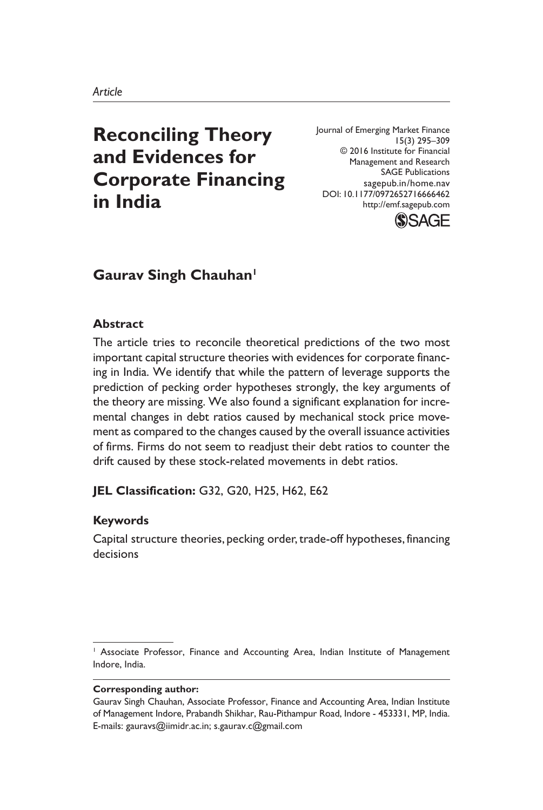# **Reconciling Theory and Evidences for Corporate Financing in India**

Journal of Emerging Market Finance 15(3) 295–309 © 2016 Institute for Financial Management and Research SAGE Publications sagepub.in/home.nav DOI: 10.1177/0972652716666462 http://emf.sagepub.com



## **Gaurav Singh Chauhan<sup>1</sup>**

#### **Abstract**

The article tries to reconcile theoretical predictions of the two most important capital structure theories with evidences for corporate financing in India. We identify that while the pattern of leverage supports the prediction of pecking order hypotheses strongly, the key arguments of the theory are missing. We also found a significant explanation for incremental changes in debt ratios caused by mechanical stock price movement as compared to the changes caused by the overall issuance activities of firms. Firms do not seem to readjust their debt ratios to counter the drift caused by these stock-related movements in debt ratios.

**JEL Classification:** G32, G20, H25, H62, E62

### **Keywords**

Capital structure theories, pecking order, trade-off hypotheses, financing decisions

#### **Corresponding author:**

<sup>&</sup>lt;sup>1</sup> Associate Professor, Finance and Accounting Area, Indian Institute of Management Indore, India.

Gaurav Singh Chauhan, Associate Professor, Finance and Accounting Area, Indian Institute of Management Indore, Prabandh Shikhar, Rau-Pithampur Road, Indore - 453331, MP, India. E-mails: gauravs@iimidr.ac.in; s.gaurav.c@gmail.com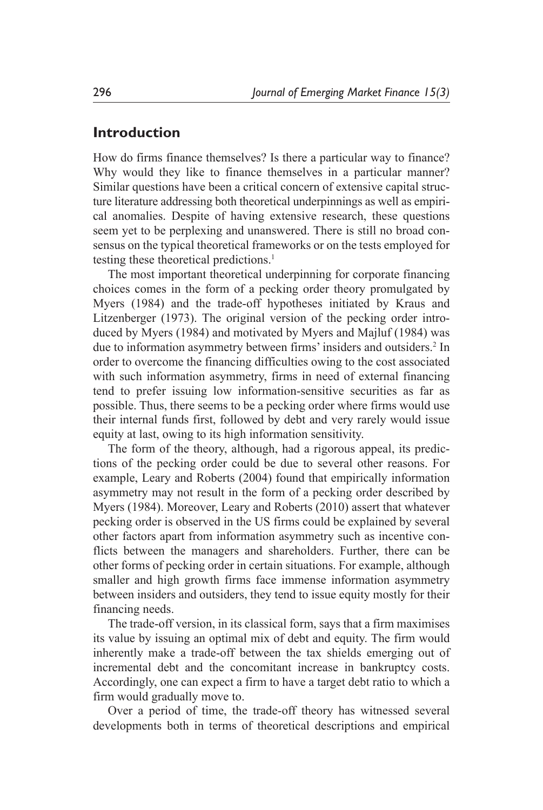#### **Introduction**

How do firms finance themselves? Is there a particular way to finance? Why would they like to finance themselves in a particular manner? Similar questions have been a critical concern of extensive capital structure literature addressing both theoretical underpinnings as well as empirical anomalies. Despite of having extensive research, these questions seem yet to be perplexing and unanswered. There is still no broad consensus on the typical theoretical frameworks or on the tests employed for testing these theoretical predictions.<sup>1</sup>

The most important theoretical underpinning for corporate financing choices comes in the form of a pecking order theory promulgated by Myers (1984) and the trade-off hypotheses initiated by Kraus and Litzenberger (1973). The original version of the pecking order introduced by Myers (1984) and motivated by Myers and Majluf (1984) was due to information asymmetry between firms' insiders and outsiders.<sup>2</sup> In order to overcome the financing difficulties owing to the cost associated with such information asymmetry, firms in need of external financing tend to prefer issuing low information-sensitive securities as far as possible. Thus, there seems to be a pecking order where firms would use their internal funds first, followed by debt and very rarely would issue equity at last, owing to its high information sensitivity.

The form of the theory, although, had a rigorous appeal, its predictions of the pecking order could be due to several other reasons. For example, Leary and Roberts (2004) found that empirically information asymmetry may not result in the form of a pecking order described by Myers (1984). Moreover, Leary and Roberts (2010) assert that whatever pecking order is observed in the US firms could be explained by several other factors apart from information asymmetry such as incentive conflicts between the managers and shareholders. Further, there can be other forms of pecking order in certain situations. For example, although smaller and high growth firms face immense information asymmetry between insiders and outsiders, they tend to issue equity mostly for their financing needs.

The trade-off version, in its classical form, says that a firm maximises its value by issuing an optimal mix of debt and equity. The firm would inherently make a trade-off between the tax shields emerging out of incremental debt and the concomitant increase in bankruptcy costs. Accordingly, one can expect a firm to have a target debt ratio to which a firm would gradually move to.

Over a period of time, the trade-off theory has witnessed several developments both in terms of theoretical descriptions and empirical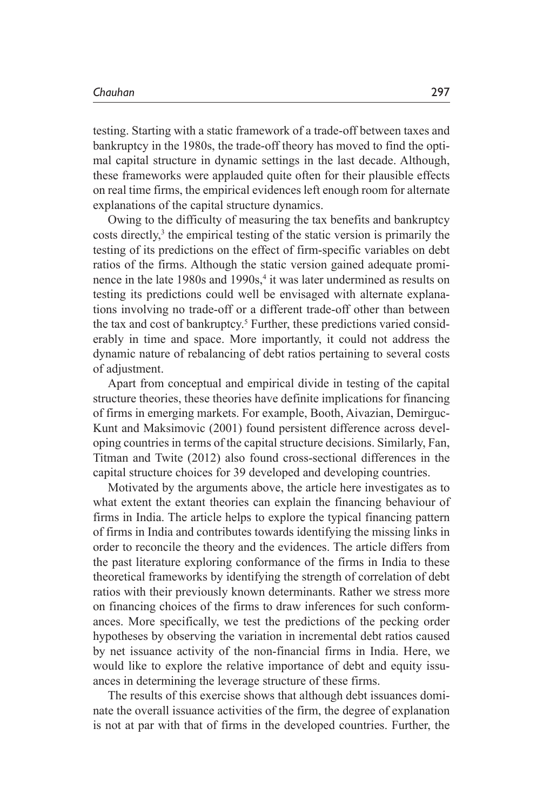testing. Starting with a static framework of a trade-off between taxes and bankruptcy in the 1980s, the trade-off theory has moved to find the optimal capital structure in dynamic settings in the last decade. Although, these frameworks were applauded quite often for their plausible effects on real time firms, the empirical evidences left enough room for alternate explanations of the capital structure dynamics.

Owing to the difficulty of measuring the tax benefits and bankruptcy costs directly,<sup>3</sup> the empirical testing of the static version is primarily the testing of its predictions on the effect of firm-specific variables on debt ratios of the firms. Although the static version gained adequate prominence in the late 1980s and 1990s,<sup>4</sup> it was later undermined as results on testing its predictions could well be envisaged with alternate explanations involving no trade-off or a different trade-off other than between the tax and cost of bankruptcy.<sup>5</sup> Further, these predictions varied considerably in time and space. More importantly, it could not address the dynamic nature of rebalancing of debt ratios pertaining to several costs of adjustment.

Apart from conceptual and empirical divide in testing of the capital structure theories, these theories have definite implications for financing of firms in emerging markets. For example, Booth, Aivazian, Demirguc-Kunt and Maksimovic (2001) found persistent difference across developing countries in terms of the capital structure decisions. Similarly, Fan, Titman and Twite (2012) also found cross-sectional differences in the capital structure choices for 39 developed and developing countries.

Motivated by the arguments above, the article here investigates as to what extent the extant theories can explain the financing behaviour of firms in India. The article helps to explore the typical financing pattern of firms in India and contributes towards identifying the missing links in order to reconcile the theory and the evidences. The article differs from the past literature exploring conformance of the firms in India to these theoretical frameworks by identifying the strength of correlation of debt ratios with their previously known determinants. Rather we stress more on financing choices of the firms to draw inferences for such conformances. More specifically, we test the predictions of the pecking order hypotheses by observing the variation in incremental debt ratios caused by net issuance activity of the non-financial firms in India. Here, we would like to explore the relative importance of debt and equity issuances in determining the leverage structure of these firms.

The results of this exercise shows that although debt issuances dominate the overall issuance activities of the firm, the degree of explanation is not at par with that of firms in the developed countries. Further, the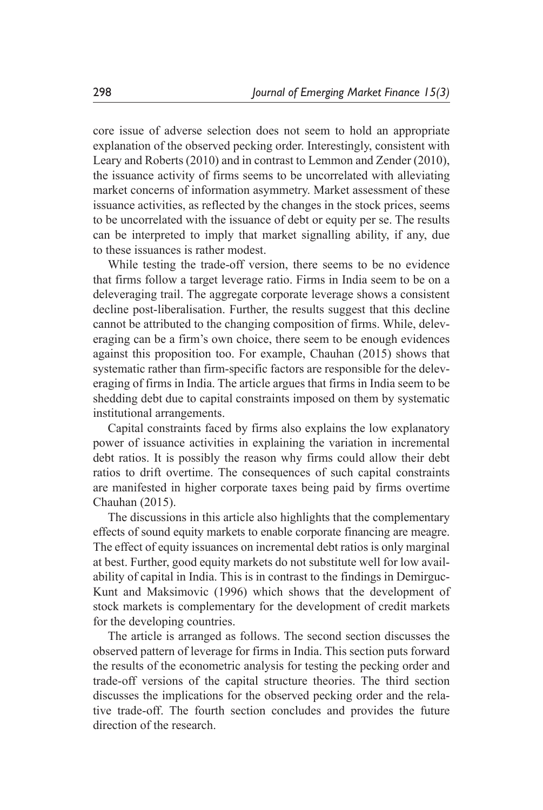core issue of adverse selection does not seem to hold an appropriate explanation of the observed pecking order. Interestingly, consistent with Leary and Roberts (2010) and in contrast to Lemmon and Zender (2010), the issuance activity of firms seems to be uncorrelated with alleviating market concerns of information asymmetry. Market assessment of these issuance activities, as reflected by the changes in the stock prices, seems to be uncorrelated with the issuance of debt or equity per se. The results can be interpreted to imply that market signalling ability, if any, due to these issuances is rather modest.

While testing the trade-off version, there seems to be no evidence that firms follow a target leverage ratio. Firms in India seem to be on a deleveraging trail. The aggregate corporate leverage shows a consistent decline post-liberalisation. Further, the results suggest that this decline cannot be attributed to the changing composition of firms. While, deleveraging can be a firm's own choice, there seem to be enough evidences against this proposition too. For example, Chauhan (2015) shows that systematic rather than firm-specific factors are responsible for the deleveraging of firms in India. The article argues that firms in India seem to be shedding debt due to capital constraints imposed on them by systematic institutional arrangements.

Capital constraints faced by firms also explains the low explanatory power of issuance activities in explaining the variation in incremental debt ratios. It is possibly the reason why firms could allow their debt ratios to drift overtime. The consequences of such capital constraints are manifested in higher corporate taxes being paid by firms overtime Chauhan (2015).

The discussions in this article also highlights that the complementary effects of sound equity markets to enable corporate financing are meagre. The effect of equity issuances on incremental debt ratios is only marginal at best. Further, good equity markets do not substitute well for low availability of capital in India. This is in contrast to the findings in Demirguc-Kunt and Maksimovic (1996) which shows that the development of stock markets is complementary for the development of credit markets for the developing countries.

The article is arranged as follows. The second section discusses the observed pattern of leverage for firms in India. This section puts forward the results of the econometric analysis for testing the pecking order and trade-off versions of the capital structure theories. The third section discusses the implications for the observed pecking order and the relative trade-off. The fourth section concludes and provides the future direction of the research.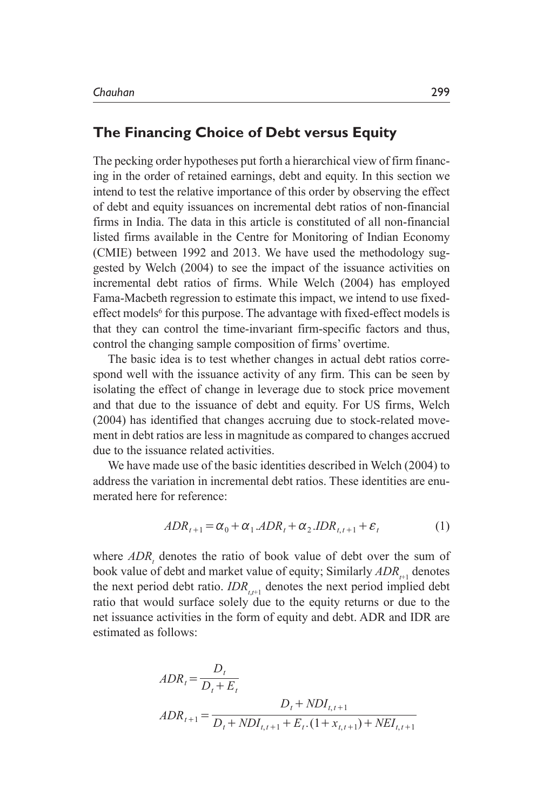### **The Financing Choice of Debt versus Equity**

The pecking order hypotheses put forth a hierarchical view of firm financing in the order of retained earnings, debt and equity. In this section we intend to test the relative importance of this order by observing the effect of debt and equity issuances on incremental debt ratios of non-financial firms in India. The data in this article is constituted of all non-financial listed firms available in the Centre for Monitoring of Indian Economy (CMIE) between 1992 and 2013. We have used the methodology suggested by Welch (2004) to see the impact of the issuance activities on incremental debt ratios of firms. While Welch (2004) has employed Fama-Macbeth regression to estimate this impact, we intend to use fixedeffect models<sup>6</sup> for this purpose. The advantage with fixed-effect models is that they can control the time-invariant firm-specific factors and thus, control the changing sample composition of firms' overtime.

The basic idea is to test whether changes in actual debt ratios correspond well with the issuance activity of any firm. This can be seen by isolating the effect of change in leverage due to stock price movement and that due to the issuance of debt and equity. For US firms, Welch (2004) has identified that changes accruing due to stock-related movement in debt ratios are less in magnitude as compared to changes accrued due to the issuance related activities.

We have made use of the basic identities described in Welch (2004) to address the variation in incremental debt ratios. These identities are enumerated here for reference:

$$
ADR_{t+1} = \alpha_0 + \alpha_1.ADR_t + \alpha_2.IDR_{t,t+1} + \varepsilon_t
$$
 (1)

where  $ADR<sub>t</sub>$  denotes the ratio of book value of debt over the sum of book value of debt and market value of equity; Similarly *ADR*<sub>*t*+1</sub> denotes the next period debt ratio.  $IDR_{t+1}$  denotes the next period implied debt ratio that would surface solely due to the equity returns or due to the net issuance activities in the form of equity and debt. ADR and IDR are estimated as follows:

$$
ADR_{t} = \frac{D_{t}}{D_{t} + E_{t}}
$$
\n
$$
ADR_{t+1} = \frac{D_{t} + NDI_{t,t+1}}{D_{t} + NDI_{t,t+1} + E_{t}.(1 + x_{t,t+1}) + NEI_{t,t+1}}
$$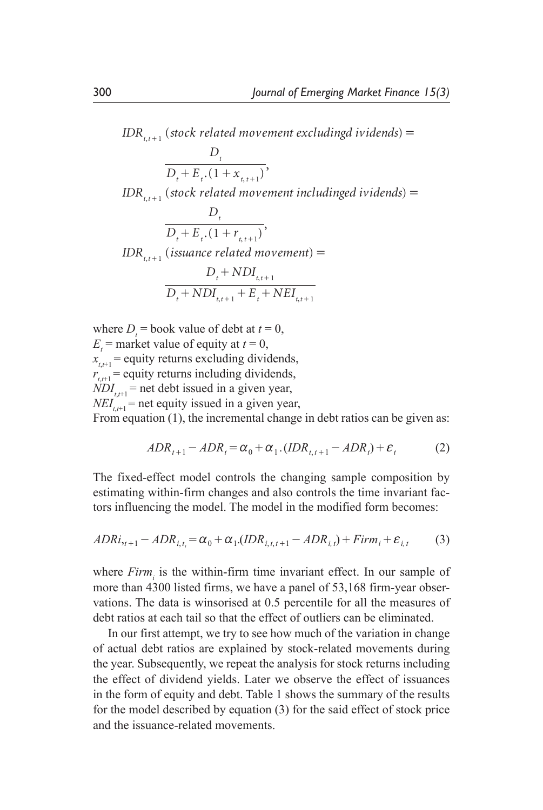$IDR_{t,t+1}$  (stock related movement excludingd ividends) =  $\frac{1}{D_{t} + E_{t} (1 + x_{t} + 1)}$  $IDR_{t,t+1}$  (stock related movement includinged *ividends*) =  $\frac{1}{D_{t} + E_{t} (1 + r_{t+1})},$  $IDR_{t,t+1}$  (issuance related movement) = *D D*  $D_t + NDI_{t+1} + E_t + NEI$  $D_{\rm t}$  + *NDI*  $t^{t+1}$   $\boldsymbol{\mu} \cdot \boldsymbol{\lambda}$   $\boldsymbol{\mu} \cdot \boldsymbol{\mu}$   $\boldsymbol{\mu} \cdot \boldsymbol{\mu}$  $t^{t+1}$   $\rightarrow$   $t^{t+1}$   $\rightarrow$   $t, t+1$  $t+1$   $t$   $t$   $t$   $t$   $t$   $t+1$  $,t+1$  $+E_{t}$ .  $(1+x_{t}$  $\frac{E_{t}}{+E_{t}$ .  $(1+r_{t}$  $t^{t+1}$   $\rightarrow$   $t^{t+1}$   $\rightarrow$   $t^{t+1}$   $\rightarrow$   $t^{t+1}$  $\frac{B_{t} + 1 + B_{t,t+1}}{B_{t+1}}$ +  $+1$   $+1$   $+1$   $+1$   $+1$ +

where  $D_t$  = book value of debt at  $t = 0$ ,  $E_t$  = market value of equity at  $t = 0$ ,  $x_{t+1}$  = equity returns excluding dividends,  $r_{t,t+1}$  = equity returns including dividends,  $NDI$ <sub>t,t+1</sub> = net debt issued in a given year,  $NEI$ <sub>*t*,*t*+1</sub> = net equity issued in a given year, From equation (1), the incremental change in debt ratios can be given as:

$$
ADR_{t+1} - ADR_t = \alpha_0 + \alpha_1.(IDR_{t,t+1} - ADR_t) + \varepsilon_t
$$
 (2)

The fixed-effect model controls the changing sample composition by estimating within-firm changes and also controls the time invariant factors influencing the model. The model in the modified form becomes:

$$
ADRi_{t+1} - ADR_{i,t} = \alpha_0 + \alpha_1 (IDR_{i,t,t+1} - ADR_{i,t}) + Firm_i + \varepsilon_{i,t}
$$
 (3)

where  $Firm<sub>i</sub>$  is the within-firm time invariant effect. In our sample of more than 4300 listed firms, we have a panel of 53,168 firm-year observations. The data is winsorised at 0.5 percentile for all the measures of debt ratios at each tail so that the effect of outliers can be eliminated.

In our first attempt, we try to see how much of the variation in change of actual debt ratios are explained by stock-related movements during the year. Subsequently, we repeat the analysis for stock returns including the effect of dividend yields. Later we observe the effect of issuances in the form of equity and debt. Table 1 shows the summary of the results for the model described by equation (3) for the said effect of stock price and the issuance-related movements.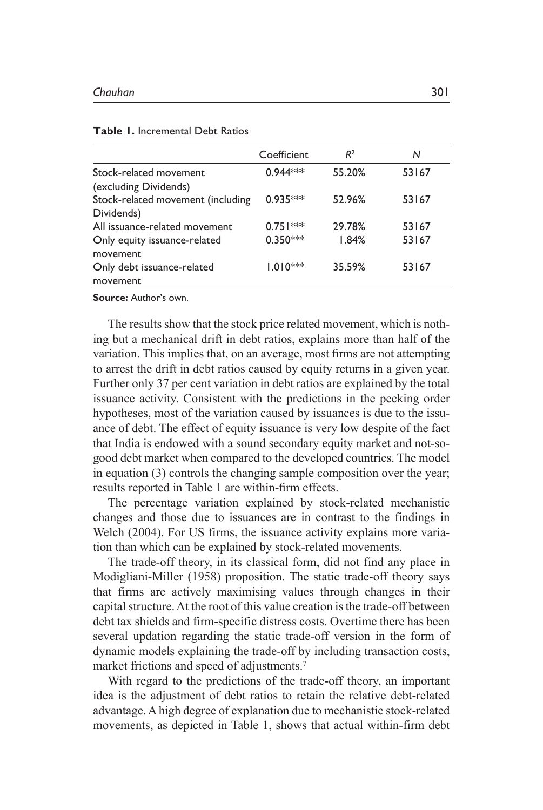|                                                 | Coefficient | $R^2$  | N     |
|-------------------------------------------------|-------------|--------|-------|
| Stock-related movement<br>(excluding Dividends) | $0.944***$  | 55.20% | 53167 |
| Stock-related movement (including<br>Dividends) | $0.935***$  | 52.96% | 53167 |
| All issuance-related movement                   | $0.751***$  | 29.78% | 53167 |
| Only equity issuance-related<br>movement        | $0.350***$  | 1.84%  | 53167 |
| Only debt issuance-related<br>movement          | $1.010***$  | 35.59% | 53167 |

**Source:** Author's own.

The results show that the stock price related movement, which is nothing but a mechanical drift in debt ratios, explains more than half of the variation. This implies that, on an average, most firms are not attempting to arrest the drift in debt ratios caused by equity returns in a given year. Further only 37 per cent variation in debt ratios are explained by the total issuance activity. Consistent with the predictions in the pecking order hypotheses, most of the variation caused by issuances is due to the issuance of debt. The effect of equity issuance is very low despite of the fact that India is endowed with a sound secondary equity market and not-sogood debt market when compared to the developed countries. The model in equation (3) controls the changing sample composition over the year; results reported in Table 1 are within-firm effects.

The percentage variation explained by stock-related mechanistic changes and those due to issuances are in contrast to the findings in Welch (2004). For US firms, the issuance activity explains more variation than which can be explained by stock-related movements.

The trade-off theory, in its classical form, did not find any place in Modigliani-Miller (1958) proposition. The static trade-off theory says that firms are actively maximising values through changes in their capital structure. At the root of this value creation is the trade-off between debt tax shields and firm-specific distress costs. Overtime there has been several updation regarding the static trade-off version in the form of dynamic models explaining the trade-off by including transaction costs, market frictions and speed of adjustments.<sup>7</sup>

With regard to the predictions of the trade-off theory, an important idea is the adjustment of debt ratios to retain the relative debt-related advantage. A high degree of explanation due to mechanistic stock-related movements, as depicted in Table 1, shows that actual within-firm debt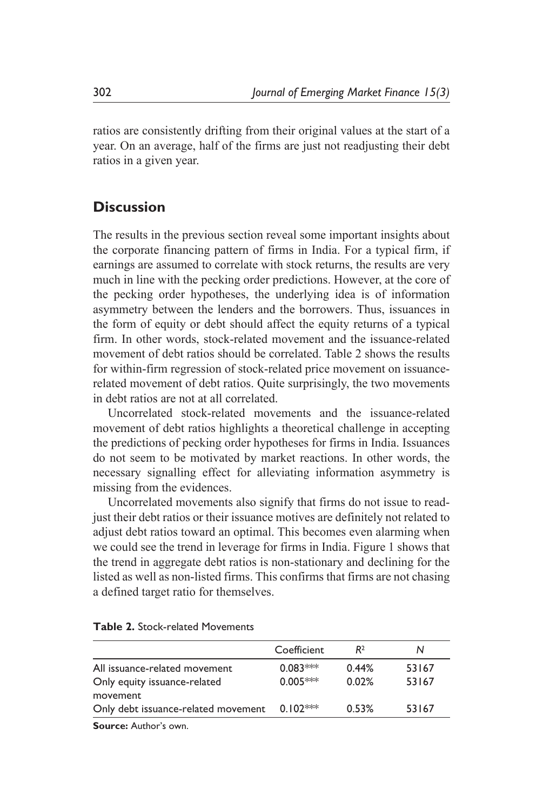ratios are consistently drifting from their original values at the start of a year. On an average, half of the firms are just not readjusting their debt ratios in a given year.

## **Discussion**

The results in the previous section reveal some important insights about the corporate financing pattern of firms in India. For a typical firm, if earnings are assumed to correlate with stock returns, the results are very much in line with the pecking order predictions. However, at the core of the pecking order hypotheses, the underlying idea is of information asymmetry between the lenders and the borrowers. Thus, issuances in the form of equity or debt should affect the equity returns of a typical firm. In other words, stock-related movement and the issuance-related movement of debt ratios should be correlated. Table 2 shows the results for within-firm regression of stock-related price movement on issuancerelated movement of debt ratios. Quite surprisingly, the two movements in debt ratios are not at all correlated.

Uncorrelated stock-related movements and the issuance-related movement of debt ratios highlights a theoretical challenge in accepting the predictions of pecking order hypotheses for firms in India. Issuances do not seem to be motivated by market reactions. In other words, the necessary signalling effect for alleviating information asymmetry is missing from the evidences.

Uncorrelated movements also signify that firms do not issue to readjust their debt ratios or their issuance motives are definitely not related to adjust debt ratios toward an optimal. This becomes even alarming when we could see the trend in leverage for firms in India. Figure 1 shows that the trend in aggregate debt ratios is non-stationary and declining for the listed as well as non-listed firms. This confirms that firms are not chasing a defined target ratio for themselves.

|                                     | Coefficient | R <sup>2</sup> | N     |
|-------------------------------------|-------------|----------------|-------|
| All issuance-related movement       | $0.083***$  | 0.44%          | 53167 |
| Only equity issuance-related        | $0.005***$  | 0.02%          | 53167 |
| movement                            |             |                |       |
| Only debt issuance-related movement | $0.102***$  | 0.53%          | 53167 |
|                                     |             |                |       |

**Table 2.** Stock-related Movements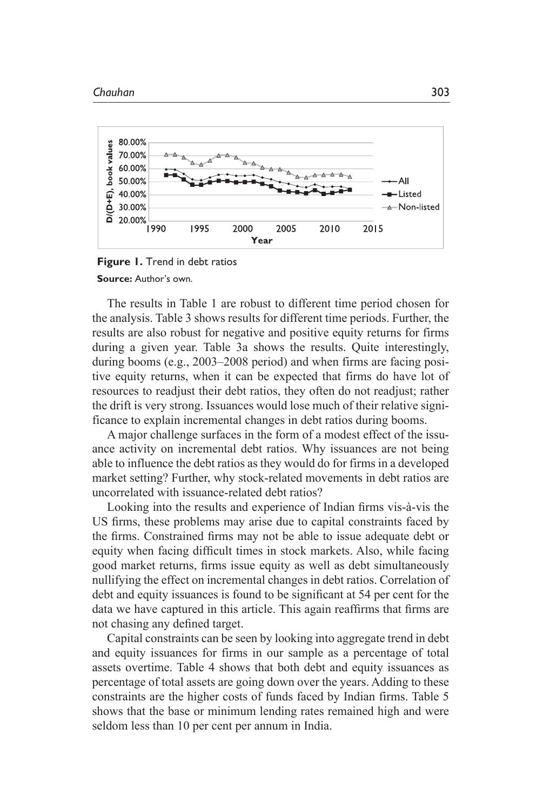

**Figure 1.** Trend in debt ratios **Source:** Author's own.

The results in Table 1 are robust to different time period chosen for the analysis. Table 3 shows results for different time periods. Further, the results are also robust for negative and positive equity returns for firms during a given year. Table 3a shows the results. Quite interestingly, during booms (e.g., 2003–2008 period) and when firms are facing positive equity returns, when it can be expected that firms do have lot of resources to readjust their debt ratios, they often do not readjust; rather the drift is very strong. Issuances would lose much of their relative significance to explain incremental changes in debt ratios during booms.

A major challenge surfaces in the form of a modest effect of the issuance activity on incremental debt ratios. Why issuances are not being able to influence the debt ratios as they would do for firms in a developed market setting? Further, why stock-related movements in debt ratios are uncorrelated with issuance-related debt ratios?

Looking into the results and experience of Indian firms vis-à-vis the US firms, these problems may arise due to capital constraints faced by the firms. Constrained firms may not be able to issue adequate debt or equity when facing difficult times in stock markets. Also, while facing good market returns, firms issue equity as well as debt simultaneously nullifying the effect on incremental changes in debt ratios. Correlation of debt and equity issuances is found to be significant at 54 per cent for the data we have captured in this article. This again reaffirms that firms are not chasing any defined target.

Capital constraints can be seen by looking into aggregate trend in debt and equity issuances for firms in our sample as a percentage of total assets overtime. Table 4 shows that both debt and equity issuances as percentage of total assets are going down over the years. Adding to these constraints are the higher costs of funds faced by Indian firms. Table 5 shows that the base or minimum lending rates remained high and were seldom less than 10 per cent per annum in India.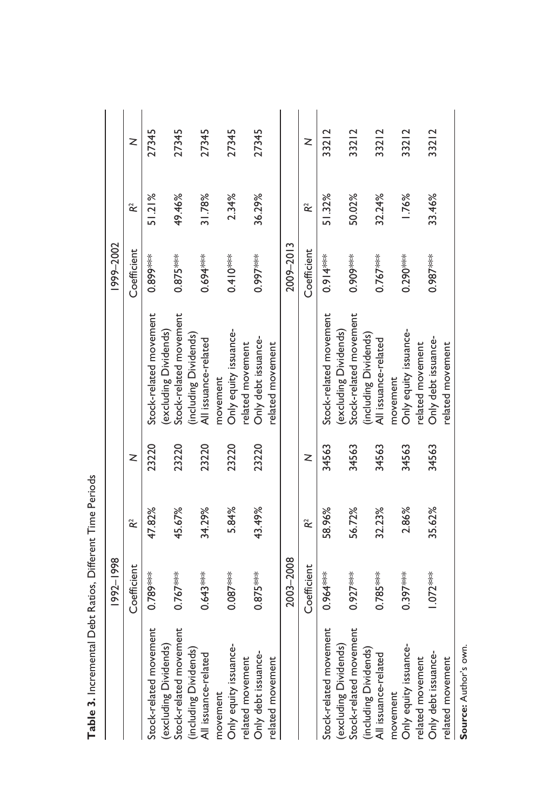|                                                 | 1992-1998   |        |       |                                                | 1999-2002   |        |       |
|-------------------------------------------------|-------------|--------|-------|------------------------------------------------|-------------|--------|-------|
|                                                 | Coefficient | R      | z     |                                                | Coefficient | Ř      | z     |
| Stock-related movement                          | $0.789***$  | 47.82% | 23220 | Stock-related movement                         | $0.899***$  | 51.21% | 27345 |
| Stock-related movement<br>(excluding Dividends) | $0.767***$  | 45.67% | 23220 | Stock-related movement<br>excluding Dividends) | $0.875***$  | 49.46% | 27345 |
| (including Dividends)<br>All issuance-related   | $0.643***$  | 34.29% | 23220 | including Dividends)<br>All issuance-related   | $0.694***$  | 31.78% | 27345 |
| Only equity issuance-<br>movement               | $0.087***$  | 5.84%  | 23220 | Only equity issuance-<br>novement              | 0.410 ***   | 2.34%  | 27345 |
| Only debt issuance-<br>related movement         | $0.875***$  | 43.49% | 23220 | Only debt issuance-<br>elated movement         | $0.997***$  | 36.29% | 27345 |
| related movement                                |             |        |       | elated movement                                |             |        |       |
|                                                 | 2003-2008   |        |       |                                                | 2009-2013   |        |       |
|                                                 | Coefficient | R      | z     |                                                | Coefficient | R      | z     |
| Stock-related movement                          | $0.964***$  | 58.96% | 34563 | Stock-related movement                         | $0.914***$  | 51.32% | 33212 |
| Stock-related movement<br>(excluding Dividends) | $0.927***$  | 56.72% | 34563 | Stock-related movement<br>excluding Dividends) | $0.909***$  | 50.02% | 33212 |
| (including Dividends)<br>All issuance-related   | $0.785***$  | 32.23% | 34563 | including Dividends)<br>All issuance-related   | $0.767***$  | 32.24% | 33212 |
| Only equity issuance-<br>movement               | $0.397***$  | 2.86%  | 34563 | Only equity issuance-<br>novement              | $0.290***$  | 1.76%  | 33212 |
| Only debt issuance-<br>related movement         | $1.072***$  | 35.62% | 34563 | Only debt issuance-<br>elated movement         | $0.987***$  | 33.46% | 33212 |
| related movement                                |             |        |       | elated movement                                |             |        |       |
|                                                 |             |        |       |                                                |             |        |       |

Table 3. Incremental Debt Ratios, Different Time Periods **Table 3.** Incremental Debt Ratios, Different Time Periods

Source: Author's own. **Source:** Author's own.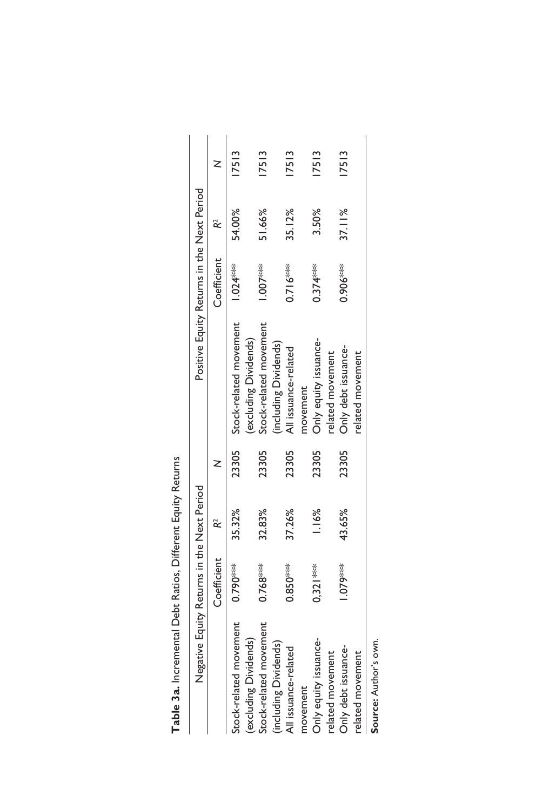| Negative Equity Returns in the Next Period      |             |        |       | Positive Equity Returns in the Next Period      |                 |                |       |
|-------------------------------------------------|-------------|--------|-------|-------------------------------------------------|-----------------|----------------|-------|
|                                                 | Coefficient | ĝ      |       |                                                 | Coefficient     | R <sup>2</sup> |       |
| Stock-related movement                          | $0.790***$  | 35.32% |       | 23305 Stock-related movement                    | $1.024***$      | 54.00%         | 75 3  |
| Stock-related movement<br>(excluding Dividends) | $0.768***$  | 32.83% | 23305 | Stock-related movement<br>(excluding Dividends) | <b>1.007***</b> | 51.66%         | 7513  |
| (including Dividends)<br>All issuance-related   | $0.850***$  | 37.26% | 23305 | including Dividends)<br>All issuance-related    | $0.716***$      | 35.12%         | 7513  |
| Only equity issuance-<br>movement               | $0.321***$  | 1.16%  | 23305 | Only equity issuance-<br>movement               | $0.374***$      | 3.50%          | 17513 |
| related movement                                |             |        |       | related movement                                |                 |                |       |
| Only debt issuance-                             | l.079***    | 43.65% | 23305 | Only debt issuance-                             | $0.906***$      | 37.11%         | 17513 |
| related movement                                |             |        |       | related movement                                |                 |                |       |
| .<br>.                                          |             |        |       |                                                 |                 |                |       |

| I<br>1<br>)<br>5<br>1<br>1<br>İ<br>$\frac{1}{2}$<br>$\frac{1}{2}$<br>í |
|------------------------------------------------------------------------|
| ;<br>$\mathbf{r}$                                                      |
|                                                                        |
| I                                                                      |

Source: Author's own. **Source:** Author's own.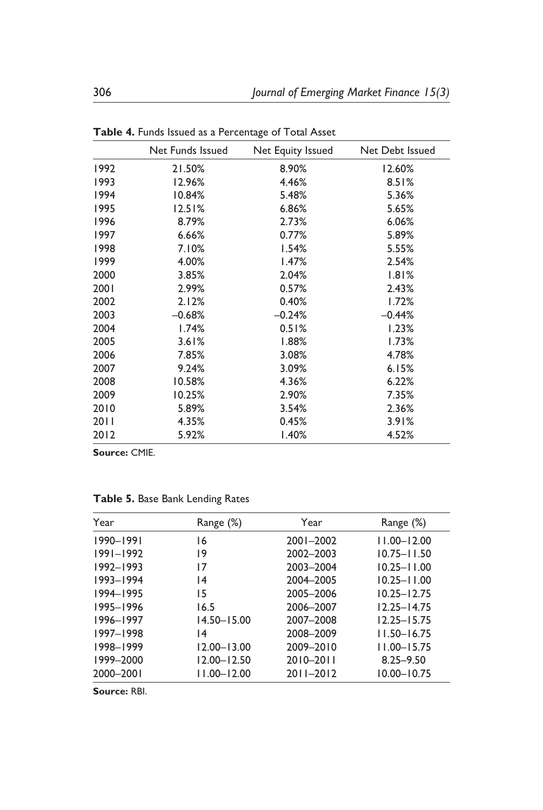|      | Net Funds Issued | Net Equity Issued | Net Debt Issued |
|------|------------------|-------------------|-----------------|
| 1992 | 21.50%           | 8.90%             | 12.60%          |
| 1993 | 12.96%           | 4.46%             | 8.51%           |
| 1994 | 10.84%           | 5.48%             | 5.36%           |
| 1995 | 12.51%           | 6.86%             | 5.65%           |
| 1996 | 8.79%            | 2.73%             | 6.06%           |
| 1997 | 6.66%            | 0.77%             | 5.89%           |
| 1998 | 7.10%            | 1.54%             | 5.55%           |
| 1999 | 4.00%            | 1.47%             | 2.54%           |
| 2000 | 3.85%            | 2.04%             | 1.81%           |
| 2001 | 2.99%            | 0.57%             | 2.43%           |
| 2002 | 2.12%            | 0.40%             | 1.72%           |
| 2003 | $-0.68%$         | $-0.24%$          | $-0.44%$        |
| 2004 | 1.74%            | 0.51%             | 1.23%           |
| 2005 | 3.61%            | 1.88%             | 1.73%           |
| 2006 | 7.85%            | 3.08%             | 4.78%           |
| 2007 | 9.24%            | 3.09%             | 6.15%           |
| 2008 | 10.58%           | 4.36%             | 6.22%           |
| 2009 | 10.25%           | 2.90%             | 7.35%           |
| 2010 | 5.89%            | 3.54%             | 2.36%           |
| 2011 | 4.35%            | 0.45%             | 3.91%           |
| 2012 | 5.92%            | 1.40%             | 4.52%           |

**Table 4.** Funds Issued as a Percentage of Total Asset

**Source:** CMIE.

|  |  |  |  |  | Table 5. Base Bank Lending Rates |  |
|--|--|--|--|--|----------------------------------|--|
|--|--|--|--|--|----------------------------------|--|

| Year          | Range (%)       | Year          | Range (%)       |
|---------------|-----------------|---------------|-----------------|
| 1990-1991     | 16              | 2001-2002     | $11.00 - 12.00$ |
| $1991 - 1992$ | 19              | 2002-2003     | $10.75 - 11.50$ |
| $1992 - 1993$ | 17              | 2003-2004     | $10.25 - 11.00$ |
| 1993-1994     | 14              | 2004-2005     | $10.25 - 11.00$ |
| 1994-1995     | 15              | 2005-2006     | $10.25 - 12.75$ |
| 1995-1996     | 16.5            | 2006-2007     | $12.25 - 14.75$ |
| 1996-1997     | $14.50 - 15.00$ | 2007-2008     | $12.25 - 15.75$ |
| 1997-1998     | $\overline{14}$ | 2008-2009     | $11.50 - 16.75$ |
| 1998-1999     | $12.00 - 13.00$ | 2009-2010     | $11.00 - 15.75$ |
| 1999-2000     | $12.00 - 12.50$ | $2010 - 2011$ | $8.25 - 9.50$   |
| 2000-2001     | $11.00 - 12.00$ | $2011 - 2012$ | $10.00 - 10.75$ |

**Source:** RBI.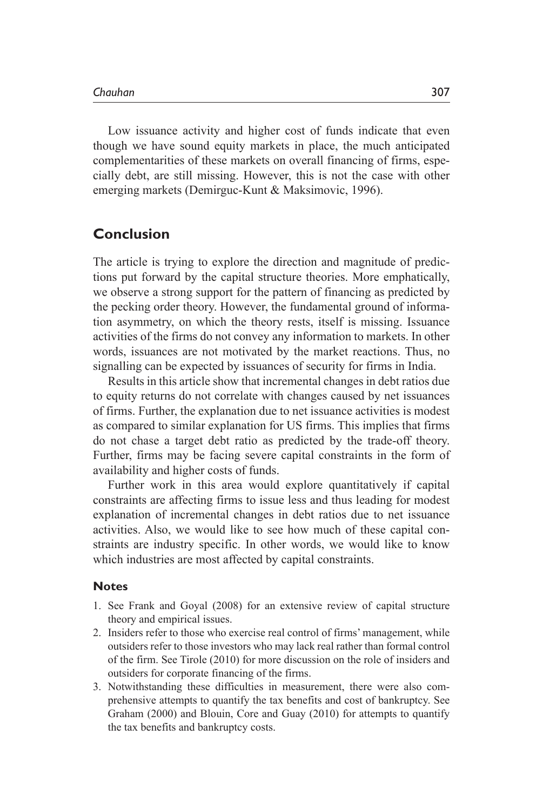Low issuance activity and higher cost of funds indicate that even though we have sound equity markets in place, the much anticipated complementarities of these markets on overall financing of firms, especially debt, are still missing. However, this is not the case with other emerging markets (Demirguc-Kunt & Maksimovic, 1996).

## **Conclusion**

The article is trying to explore the direction and magnitude of predictions put forward by the capital structure theories. More emphatically, we observe a strong support for the pattern of financing as predicted by the pecking order theory. However, the fundamental ground of information asymmetry, on which the theory rests, itself is missing. Issuance activities of the firms do not convey any information to markets. In other words, issuances are not motivated by the market reactions. Thus, no signalling can be expected by issuances of security for firms in India.

Results in this article show that incremental changes in debt ratios due to equity returns do not correlate with changes caused by net issuances of firms. Further, the explanation due to net issuance activities is modest as compared to similar explanation for US firms. This implies that firms do not chase a target debt ratio as predicted by the trade-off theory. Further, firms may be facing severe capital constraints in the form of availability and higher costs of funds.

Further work in this area would explore quantitatively if capital constraints are affecting firms to issue less and thus leading for modest explanation of incremental changes in debt ratios due to net issuance activities. Also, we would like to see how much of these capital constraints are industry specific. In other words, we would like to know which industries are most affected by capital constraints.

#### **Notes**

- 1. See Frank and Goyal (2008) for an extensive review of capital structure theory and empirical issues.
- 2. Insiders refer to those who exercise real control of firms' management, while outsiders refer to those investors who may lack real rather than formal control of the firm. See Tirole (2010) for more discussion on the role of insiders and outsiders for corporate financing of the firms.
- 3. Notwithstanding these difficulties in measurement, there were also comprehensive attempts to quantify the tax benefits and cost of bankruptcy. See Graham (2000) and Blouin, Core and Guay (2010) for attempts to quantify the tax benefits and bankruptcy costs.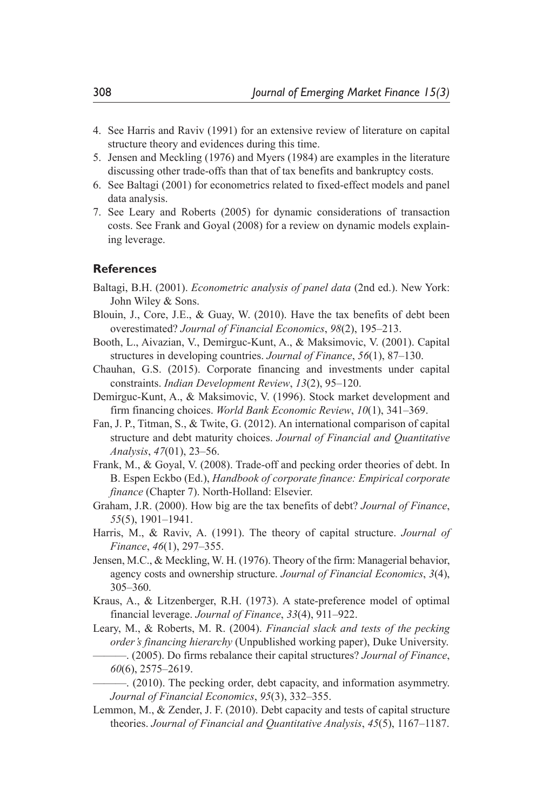- 4. See Harris and Raviv (1991) for an extensive review of literature on capital structure theory and evidences during this time.
- 5. Jensen and Meckling (1976) and Myers (1984) are examples in the literature discussing other trade-offs than that of tax benefits and bankruptcy costs.
- 6. See Baltagi (2001) for econometrics related to fixed-effect models and panel data analysis.
- 7. See Leary and Roberts (2005) for dynamic considerations of transaction costs. See Frank and Goyal (2008) for a review on dynamic models explaining leverage.

#### **References**

- Baltagi, B.H. (2001). *Econometric analysis of panel data* (2nd ed.). New York: John Wiley & Sons.
- Blouin, J., Core, J.E., & Guay, W. (2010). Have the tax benefits of debt been overestimated? *Journal of Financial Economics*, *98*(2), 195–213.
- Booth, L., Aivazian, V., Demirguc-Kunt, A., & Maksimovic, V. (2001). Capital structures in developing countries. *Journal of Finance*, *56*(1), 87–130.
- Chauhan, G.S. (2015). Corporate financing and investments under capital constraints. *Indian Development Review*, *13*(2), 95–120.
- Demirguc-Kunt, A., & Maksimovic, V. (1996). Stock market development and firm financing choices. *World Bank Economic Review*, *10*(1), 341–369.
- Fan, J. P., Titman, S., & Twite, G. (2012). An international comparison of capital structure and debt maturity choices. *Journal of Financial and Quantitative Analysis*, *47*(01), 23–56.
- Frank, M., & Goyal, V. (2008). Trade-off and pecking order theories of debt. In B. Espen Eckbo (Ed.), *Handbook of corporate finance: Empirical corporate finance* (Chapter 7). North-Holland: Elsevier.
- Graham, J.R. (2000). How big are the tax benefits of debt? *Journal of Finance*, *55*(5), 1901–1941.
- Harris, M., & Raviv, A. (1991). The theory of capital structure. *Journal of Finance*, *46*(1), 297–355.
- Jensen, M.C., & Meckling, W. H. (1976). Theory of the firm: Managerial behavior, agency costs and ownership structure. *Journal of Financial Economics*, *3*(4), 305–360.
- Kraus, A., & Litzenberger, R.H. (1973). A state-preference model of optimal financial leverage. *Journal of Finance*, *33*(4), 911–922.
- Leary, M., & Roberts, M. R. (2004). *Financial slack and tests of the pecking order's financing hierarchy* (Unpublished working paper), Duke University. ———. (2005). Do firms rebalance their capital structures? *Journal of Finance*, *60*(6), 2575–2619.
	- ———. (2010). The pecking order, debt capacity, and information asymmetry. *Journal of Financial Economics*, *95*(3), 332–355.
- Lemmon, M., & Zender, J. F. (2010). Debt capacity and tests of capital structure theories. *Journal of Financial and Quantitative Analysis*, *45*(5), 1167–1187.